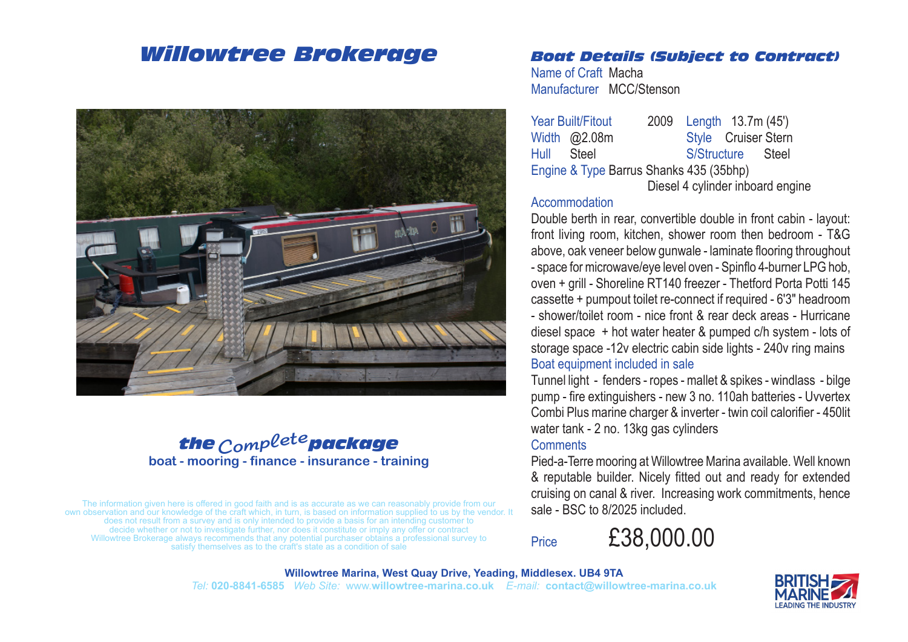## *Willowtree Brokerage*



## the <sub>Comp</sub>lete package **boat - mooring - finance - insurance - training**

The information given here is offered in good faith and is as accurate as we can reasonably provide from our own observation and our knowledge of the craft which, in turn, is based on information supplied to us by the vendor. It does not result from a survey and is only intended to provide a basis for an intending customer to decide whether or not to investigate further, nor does it constitute or imply any offer or contract Willowtree Brokerage always recommends that any potential purchaser obtains a professional survey to satisfy themselves as to the craft's state as a condition of sale

### *Boat Details (Subject to Contract)*

Name of Craft Macha Manufacturer MCC/Stenson

Year Built/Fitout 2009 Length 13.7m (45') Width @2.08m Style Cruiser Stern Hull Steel S/Structure Steel Engine & Type Barrus Shanks 435 (35bhp) Diesel 4 cylinder inboard engine

#### **Accommodation**

Double berth in rear, convertible double in front cabin - layout: front living room, kitchen, shower room then bedroom - T&G above, oak veneer below gunwale - laminate flooring throughout - space for microwave/eye level oven - Spinflo 4-burner LPG hob, oven + grill - Shoreline RT140 freezer - Thetford Porta Potti 145 cassette + pumpout toilet re-connect if required - 6'3" headroom - shower/toilet room - nice front & rear deck areas - Hurricane diesel space + hot water heater & pumped c/h system - lots of storage space -12v electric cabin side lights - 240v ring mains Boat equipment included in sale

Tunnel light - fenders - ropes - mallet & spikes - windlass - bilge pump - fire extinguishers - new 3 no. 110ah batteries - Uvvertex Combi Plus marine charger & inverter - twin coil calorifier - 450lit water tank - 2 no. 13kg gas cylinders

#### **Comments**

Pied-a-Terre mooring at Willowtree Marina available. Well known & reputable builder. Nicely fitted out and ready for extended cruising on canal & river. Increasing work commitments, hence sale - BSC to 8/2025 included.

Price £38,000.00

**Willowtree Marina, West Quay Drive, Yeading, Middlesex. UB4 9TA** *Tel:* **020-8841-6585** *Web Site:* www.**willowtree-marina.co.uk** *E-mail:* **contact@willowtree-marina.co.uk**